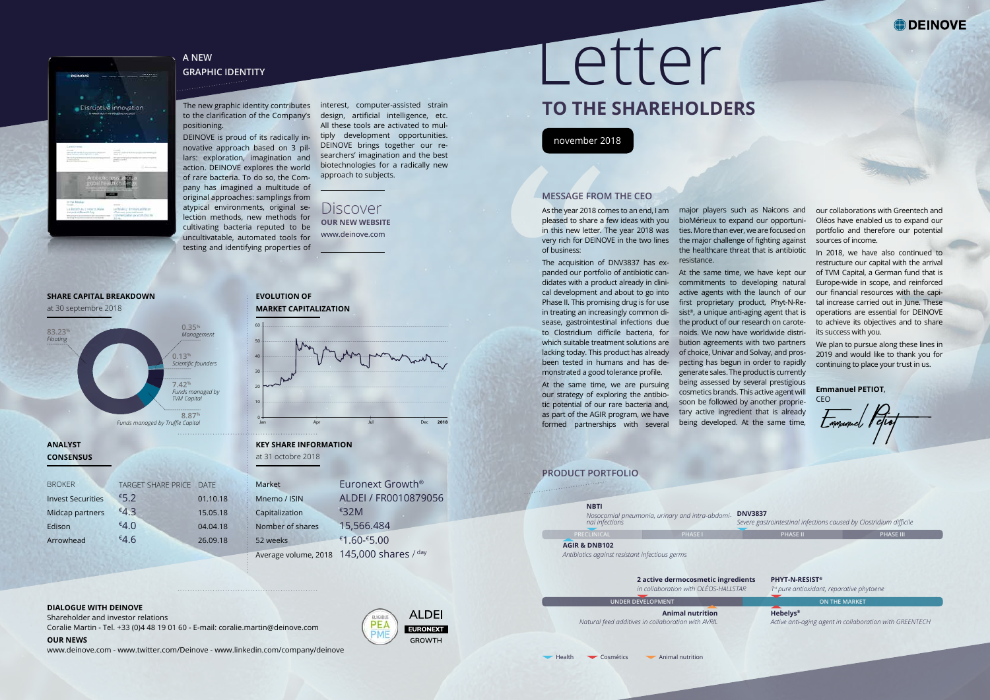The new graphic identity contributes interest, computer-assisted strain to the clarification of the Company's design, artificial intelligence, etc. positioning.

novative approach based on 3 pillars: exploration, imagination and action. DEINOVE explores the world of rare bacteria. To do so, the Com-approach to subjects. pany has imagined a multitude of original approaches: samplings from atypical environments, original selection methods, new methods for cultivating bacteria reputed to be uncultivatable, automated tools for testing and identifying properties of

DEINOVE is proud of its radically in-<br> All these tools are activated to mul-DEINOVE brings together our researchers' imagination and the best biotechnologies for a radically new

| Market           | Euronext Growth <sup>®</sup>              |
|------------------|-------------------------------------------|
| Mnemo / ISIN     | ALDEI / FR0010879056                      |
| Capitalization   | €32M                                      |
| Nomber of shares | 15,566.484                                |
| 52 weeks         | $€1.60 - £5.00$                           |
|                  | Average volume, 2018 145,000 shares / day |

| <b>BROKER</b>            | TARGET SHARE PRICE DATE |          |
|--------------------------|-------------------------|----------|
| <b>Invest Securities</b> | €5.2                    | 01.10.18 |
| Midcap partners          | €4.3                    | 15.05.18 |
| Edison                   | €4.0                    | 04.04.18 |
| Arrowhead                | €4.6                    | 26.09.18 |

**MESSAGE FROM THE CEO**<br>As the year 2018 comes to an end,<br>pleased to share a few ideas with<br>in this new letter. The year 2018<br>very rich for DEINOVE in the two<br>of business:<br>The acquisition of DNV3837 has<br>panded our portfolio The acquisition of DNV3837 has expanded our portfolio of antibiotic can-At the same time, we have kept our didates with a product already in clinical development and about to go into Phase II. This promising drug is for use in treating an increasingly common disease, gastrointestinal infections due to Clostridium difficile bacteria, for which suitable treatment solutions are bution agreements with two partners lacking today. This product has already been tested in humans and has demonstrated a good tolerance profile.



#### **DIALOGUE WITH DEINOVE**

Shareholder and investor relations

Coralie Martin - Tel. +33 (0)4 48 19 01 60 - E-mail: coralie.martin@deinove.com **OUR NEWS**



www.deinove.com - www.twitter.com/Deinove - www.linkedin.com/company/deinove



# Letter

# **TO THE SHAREHOLDERS**

# november 2018

of business:

As the year 2018 comes to an end, I am major players such as Naicons and pleased to share a few ideas with you bioMérieux to expand our opportuniin this new letter. The year 2018 was ties. More than ever, we are focused on very rich for DEINOVE in the two lines the major challenge of fighting against the healthcare threat that is antibiotic resistance.

At the same time, we are pursuing our strategy of exploring the antibiotic potential of our rare bacteria and, as part of the AGIR program, we have formed partnerships with several

commitments to developing natural active agents with the launch of our first proprietary product, Phyt-N-Resist®, a unique anti-aging agent that is the product of our research on carotenoids. We now have worldwide distriof choice, Univar and Solvay, and prospecting has begun in order to rapidly generate sales. The product is currently being assessed by several prestigious cosmetics brands. This active agent will soon be followed by another proprietary active ingredient that is already being developed. At the same time,

our collaborations with Greentech and Oléos have enabled us to expand our portfolio and therefore our potential sources of income.

In 2018, we have also continued to restructure our capital with the arrival of TVM Capital, a German fund that is Europe-wide in scope, and reinforced our financial resources with the capital increase carried out in June. These operations are essential for DEINOVE to achieve its objectives and to share its success with you.

We plan to pursue along these lines in 2019 and would like to thank you for continuing to place your trust in us.

**Emmanuel PETIOT**,

CEO

 $\overline{\mathcal{L}}$ mmanuel <sup>P</sup> 1)<br>eftof

# **PRODUCT PORTFOLIO**

# $\cdots$ Disruptive innovation

# **A NEW**

**GRAPHIC IDENTITY** 

Discover **OUR NEW WEBSITE** www.deinove.com

# **SHARE CAPITAL BREAKDOWN**

at 30 septembre 2018

# **ANALYST CONSENSUS**

# **EVOLUTION OF MARKET CAPITALIZATION**

### **KEY SHARE INFORMATION** at 31 octobre 2018



**PHASE I PHASE II PHASE III**

**ON THE MARKET**

**DNV3837**

*Severe gastrointestinal infections caused by Clostridium difficile*

# **PRECLINICAL NBTI** *Nosocomial pneumonia, urinary and intra-abdominal infections*

**PHYT-N-RESIST®**

*1st pure antioxidant, reparative phytoene* 

# **2 active dermocosmetic ingredients**

*in collaboration with OLÉOS-HALLSTAR* 

# **UNDER DEVELOPMENT**

**AGIR & DNB102** 

*Antibiotics against resistant infectious germs* 

**Animal nutrition** *Natural feed additives in collaboration with AVRIL* 

Health Cosmétics Animal nutrition

**Hebelys®**

*Active anti-aging agent in collaboration with GREENTECH*